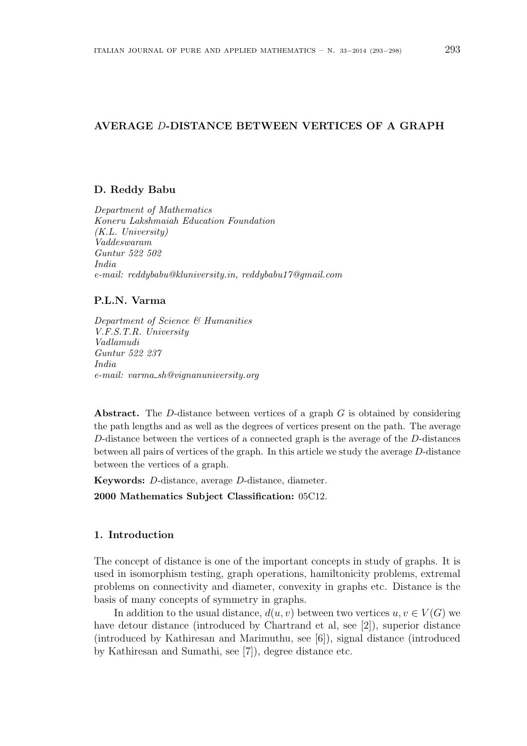# AVERAGE D-DISTANCE BETWEEN VERTICES OF A GRAPH

# D. Reddy Babu

Department of Mathematics Koneru Lakshmaiah Education Foundation (K.L. University) Vaddeswaram Guntur 522 502 India e-mail: reddybabu@kluniversity.in, reddybabu17@gmail.com

### P.L.N. Varma

Department of Science & Humanities V.F.S.T.R. University Vadlamudi Guntur 522 237 India e-mail: varma sh@vignanuniversity.org

Abstract. The D-distance between vertices of a graph  $G$  is obtained by considering the path lengths and as well as the degrees of vertices present on the path. The average D-distance between the vertices of a connected graph is the average of the D-distances between all pairs of vertices of the graph. In this article we study the average D-distance between the vertices of a graph.

Keywords: D-distance, average D-distance, diameter.

2000 Mathematics Subject Classification: 05C12.

## 1. Introduction

The concept of distance is one of the important concepts in study of graphs. It is used in isomorphism testing, graph operations, hamiltonicity problems, extremal problems on connectivity and diameter, convexity in graphs etc. Distance is the basis of many concepts of symmetry in graphs.

In addition to the usual distance,  $d(u, v)$  between two vertices  $u, v \in V(G)$  we have detour distance (introduced by Chartrand et al, see [2]), superior distance (introduced by Kathiresan and Marimuthu, see [6]), signal distance (introduced by Kathiresan and Sumathi, see [7]), degree distance etc.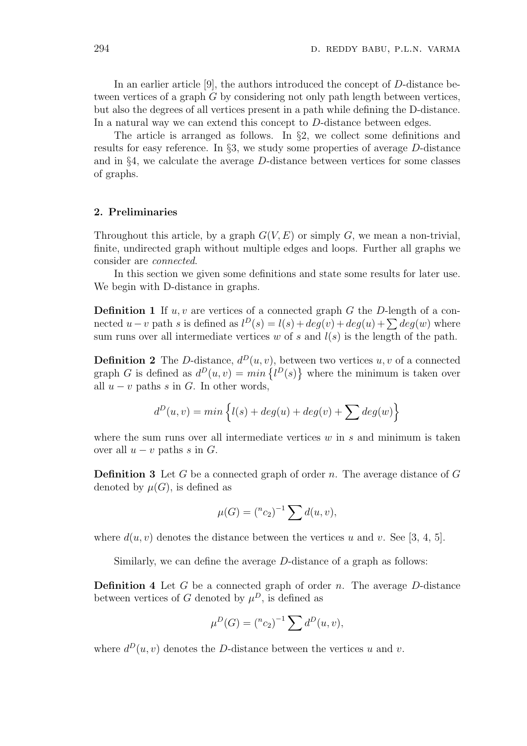In an earlier article [9], the authors introduced the concept of D-distance between vertices of a graph G by considering not only path length between vertices, but also the degrees of all vertices present in a path while defining the D-distance. In a natural way we can extend this concept to D-distance between edges.

The article is arranged as follows. In §2, we collect some definitions and results for easy reference. In §3, we study some properties of average D-distance and in  $\S4$ , we calculate the average D-distance between vertices for some classes of graphs.

#### 2. Preliminaries

Throughout this article, by a graph  $G(V, E)$  or simply G, we mean a non-trivial, finite, undirected graph without multiple edges and loops. Further all graphs we consider are connected.

In this section we given some definitions and state some results for later use. We begin with D-distance in graphs.

**Definition 1** If  $u, v$  are vertices of a connected graph G the D-length of a con-**Definition I** If  $u, v$  are vertices of a connected graph G the D-length of a connected  $u - v$  path s is defined as  $l^D(s) = l(s) + deg(v) + deg(u) + \sum deg(w)$  where sum runs over all intermediate vertices w of s and  $l(s)$  is the length of the path.

**Definition 2** The D-distance,  $d^D(u, v)$ , between two vertices u, v of a connected **Definition 2** The *D*-distance,  $a^2(u, v)$ , bett<br>graph *G* is defined as  $d^D(u, v) = min \{l^D(s)$ ve<br>२ where the minimum is taken over all  $u - v$  paths s in G. In other words,

$$
d^{D}(u,v) = min \left\{ l(s) + deg(u) + deg(v) + \sum deg(w) \right\}
$$

where the sum runs over all intermediate vertices  $w$  in  $s$  and minimum is taken over all  $u - v$  paths s in G.

**Definition 3** Let G be a connected graph of order n. The average distance of G denoted by  $\mu(G)$ , is defined as

$$
\mu(G) = \binom{n_{c_2}}{-1} \sum d(u, v),
$$

where  $d(u, v)$  denotes the distance between the vertices u and v. See [3, 4, 5].

Similarly, we can define the average D-distance of a graph as follows:

**Definition 4** Let G be a connected graph of order n. The average  $D$ -distance between vertices of G denoted by  $\mu^D$ , is defined as

$$
\mu^{D}(G) = \binom{n}{2}^{-1} \sum d^{D}(u, v),
$$

where  $d^D(u, v)$  denotes the D-distance between the vertices u and v.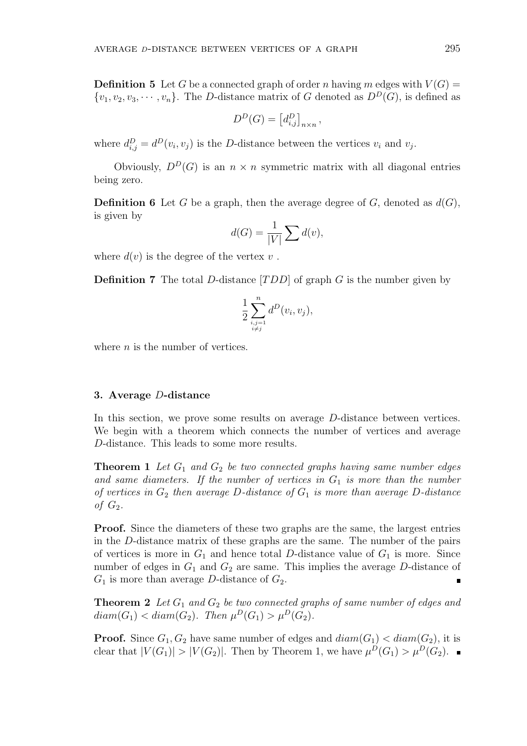**Definition 5** Let G be a connected graph of order n having m edges with  $V(G)$  =  $\{v_1, v_2, v_3, \cdots, v_n\}$ . The D-distance matrix of G denoted as  $D^D(\widetilde{G})$ , is defined as

$$
D^{D}(G) = \left[d_{i,j}^{D}\right]_{n \times n}
$$

,

where  $d_{i,j}^D = d^D(v_i, v_j)$  is the D-distance between the vertices  $v_i$  and  $v_j$ .

Obviously,  $D^D(G)$  is an  $n \times n$  symmetric matrix with all diagonal entries being zero.

**Definition 6** Let G be a graph, then the average degree of G, denoted as  $d(G)$ , is given by

$$
d(G) = \frac{1}{|V|} \sum d(v),
$$

where  $d(v)$  is the degree of the vertex v.

**Definition 7** The total D-distance  $[TDD]$  of graph G is the number given by

$$
\frac{1}{2} \sum_{\substack{i,j=1 \\ i \neq j}}^{n} d^D(v_i, v_j),
$$

where  $n$  is the number of vertices.

### 3. Average D-distance

In this section, we prove some results on average D-distance between vertices. We begin with a theorem which connects the number of vertices and average D-distance. This leads to some more results.

**Theorem 1** Let  $G_1$  and  $G_2$  be two connected graphs having same number edges and same diameters. If the number of vertices in  $G_1$  is more than the number of vertices in  $G_2$  then average D-distance of  $G_1$  is more than average D-distance of  $G_2$ .

Proof. Since the diameters of these two graphs are the same, the largest entries in the D-distance matrix of these graphs are the same. The number of the pairs of vertices is more in  $G_1$  and hence total D-distance value of  $G_1$  is more. Since number of edges in  $G_1$  and  $G_2$  are same. This implies the average D-distance of  $G_1$  is more than average D-distance of  $G_2$ . Ė

**Theorem 2** Let  $G_1$  and  $G_2$  be two connected graphs of same number of edges and  $diam(G_1) < diam(G_2)$ . Then  $\mu^D(G_1) > \mu^D(G_2)$ .

**Proof.** Since  $G_1, G_2$  have same number of edges and  $diam(G_1) < diam(G_2)$ , it is clear that  $|V(G_1)| > |V(G_2)|$ . Then by Theorem 1, we have  $\mu^D(G_1) > \mu^D(G_2)$ .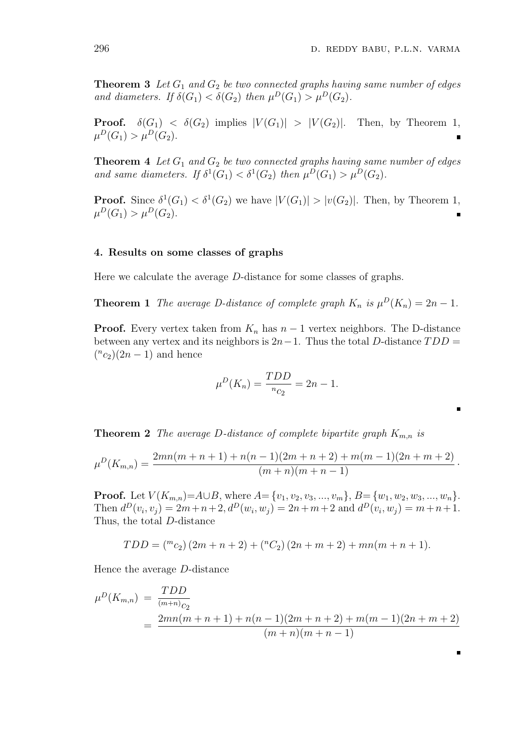**Theorem 3** Let  $G_1$  and  $G_2$  be two connected graphs having same number of edges and diameters. If  $\delta(G_1) < \delta(G_2)$  then  $\mu^D(G_1) > \mu^D(G_2)$ .

**Proof.**  $\delta(G_1) < \delta(G_2)$  implies  $|V(G_1)| > |V(G_2)|$ . Then, by Theorem 1,  $\mu^D(G_1) > \mu^D(G_2).$ 

**Theorem 4** Let  $G_1$  and  $G_2$  be two connected graphs having same number of edges and same diameters. If  $\delta^1(G_1) < \delta^1(G_2)$  then  $\mu^D(G_1) > \mu^D(G_2)$ .

**Proof.** Since  $\delta^1(G_1) < \delta^1(G_2)$  we have  $|V(G_1)| > |v(G_2)|$ . Then, by Theorem 1,  $\mu^D(G_1) > \mu^D(G_2).$ 

#### 4. Results on some classes of graphs

Here we calculate the average D-distance for some classes of graphs.

**Theorem 1** The average D-distance of complete graph  $K_n$  is  $\mu^D(K_n) = 2n - 1$ .

**Proof.** Every vertex taken from  $K_n$  has  $n-1$  vertex neighbors. The D-distance between any vertex and its neighbors is  $2n-1$ . Thus the total D-distance  $TDD =$  $(^{n}c_2)(2n-1)$  and hence

$$
\mu^{D}(K_{n}) = \frac{TDD}{n_{C_2}} = 2n - 1.
$$

**Theorem 2** The average D-distance of complete bipartite graph  $K_{m,n}$  is

$$
\mu^{D}(K_{m,n}) = \frac{2mn(m+n+1)+n(n-1)(2m+n+2)+m(m-1)(2n+m+2)}{(m+n)(m+n-1)}.
$$

**Proof.** Let  $V(K_{m,n})=A\cup B$ , where  $A=\{v_1,v_2,v_3,...,v_m\}$ ,  $B=\{w_1,w_2,w_3,...,w_n\}$ . Then  $d^D(v_i, v_j) = 2m + n + 2$ ,  $d^D(w_i, w_j) = 2n + m + 2$  and  $d^D(v_i, w_j) = m + n + 1$ . Thus, the total D-distance

$$
TDD = \binom{m_{c_2}}{2m + n + 2} + \binom{n_{c_2}}{2n + m + 2} + mn(m + n + 1).
$$

Hence the average D-distance

$$
\mu^{D}(K_{m,n}) = \frac{TDD}{(m+n)c_2}
$$
  
= 
$$
\frac{2mn(m+n+1) + n(n-1)(2m+n+2) + m(m-1)(2n+m+2)}{(m+n)(m+n-1)}
$$

п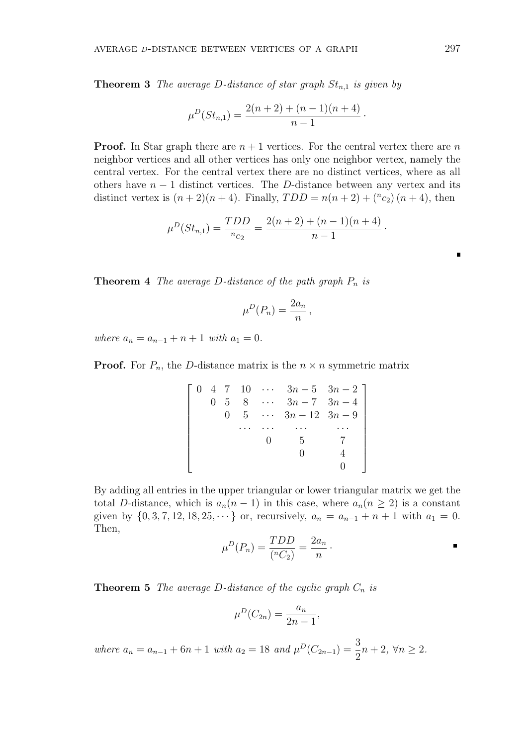**Theorem 3** The average D-distance of star graph  $St_{n,1}$  is given by

$$
\mu^{D}(St_{n,1}) = \frac{2(n+2) + (n-1)(n+4)}{n-1}.
$$

**Proof.** In Star graph there are  $n + 1$  vertices. For the central vertex there are n neighbor vertices and all other vertices has only one neighbor vertex, namely the central vertex. For the central vertex there are no distinct vertices, where as all others have  $n - 1$  distinct vertices. The D-distance between any vertex and its distinct vertex is  $(n+2)(n+4)$ . Finally,  $TDD = n(n+2) + {n \choose 2}(n+4)$ , then

$$
\mu^{D}(St_{n,1}) = \frac{TDD}{n_{C_2}} = \frac{2(n+2) + (n-1)(n+4)}{n-1}.
$$

**Theorem 4** The average D-distance of the path graph  $P_n$  is

$$
\mu^D(P_n) = \frac{2a_n}{n},
$$

where  $a_n = a_{n-1} + n + 1$  with  $a_1 = 0$ .

**Proof.** For  $P_n$ , the D-distance matrix is the  $n \times n$  symmetric matrix

|  |            | $0 \quad 4 \quad 7 \quad 10 \quad \cdots \quad 3n-5 \quad 3n-2$ |  |
|--|------------|-----------------------------------------------------------------|--|
|  |            | 0 5 8 $\cdots$ 3n - 7 3n - 4                                    |  |
|  | $0\quad 5$ | $\cdots$ $3n-12$ $3n-9$                                         |  |
|  |            |                                                                 |  |
|  |            | .h                                                              |  |
|  |            |                                                                 |  |
|  |            |                                                                 |  |

By adding all entries in the upper triangular or lower triangular matrix we get the total D-distance, which is  $a_n(n-1)$  in this case, where  $a_n(n \geq 2)$  is a constant given by  $\{0, 3, 7, 12, 18, 25, \dots\}$  or, recursively,  $a_n = a_{n-1} + n + 1$  with  $a_1 = 0$ . Then,

$$
\mu^{D}(P_n) = \frac{TDD}{({}^nC_2)} = \frac{2a_n}{n}.
$$

**Theorem 5** The average D-distance of the cyclic graph  $C_n$  is

$$
\mu^{D}(C_{2n}) = \frac{a_n}{2n-1},
$$

where  $a_n = a_{n-1} + 6n + 1$  with  $a_2 = 18$  and  $\mu^D(C_{2n-1}) = \frac{3}{2}$  $n+2, \forall n \geq 2.$   $\blacksquare$